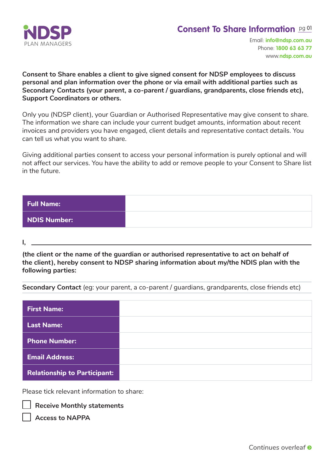

# **Consent To Share Information** pg 01

Email: **info@ndsp.com.au** Phone: **1800 63 63 77**  www.**ndsp.com.au**

**Consent to Share enables a client to give signed consent for NDSP employees to discuss personal and plan information over the phone or via email with additional parties such as Secondary Contacts (your parent, a co-parent / guardians, grandparents, close friends etc), Support Coordinators or others.**

Only you (NDSP client), your Guardian or Authorised Representative may give consent to share. The information we share can include your current budget amounts, information about recent invoices and providers you have engaged, client details and representative contact details. You can tell us what you want to share.

Giving additional parties consent to access your personal information is purely optional and will not affect our services. You have the ability to add or remove people to your Consent to Share list in the future.

| Full Name:   |  |
|--------------|--|
| NDIS Number: |  |

**I,**

**(the client or the name of the guardian or authorised representative to act on behalf of the client), hereby consent to NDSP sharing information about my/the NDIS plan with the following parties:**

**Secondary Contact** (eg: your parent, a co-parent / guardians, grandparents, close friends etc)

| <b>First Name:</b>                  |  |
|-------------------------------------|--|
| <b>Last Name:</b>                   |  |
| <b>Phone Number:</b>                |  |
| <b>Email Address:</b>               |  |
| <b>Relationship to Participant:</b> |  |

Please tick relevant information to share:

**Receive Monthly statements** 

**Access to NAPPA**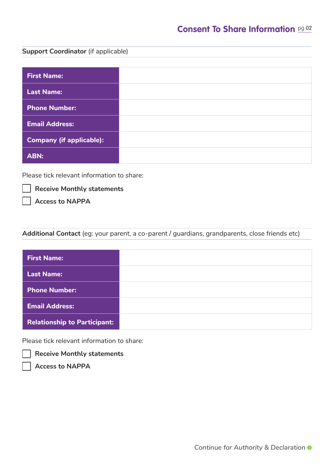## **Consent To Share Information** pg 02

#### **Support Coordinator** (if applicable)

| <b>First Name:</b>              |  |
|---------------------------------|--|
| <b>Last Name:</b>               |  |
| <b>Phone Number:</b>            |  |
| <b>Email Address:</b>           |  |
| <b>Company (if applicable):</b> |  |
| <b>ABN:</b>                     |  |

Please tick relevant information to share:

**Receive Monthly statements** 

**Access to NAPPA**

### **Additional Contact** (eg: your parent, a co-parent / guardians, grandparents, close friends etc)

| <b>First Name:</b>                  |  |
|-------------------------------------|--|
| <b>Last Name:</b>                   |  |
| <b>Phone Number:</b>                |  |
| <b>Email Address:</b>               |  |
| <b>Relationship to Participant:</b> |  |

Please tick relevant information to share:

**Receive Monthly statements** 

**Access to NAPPA**